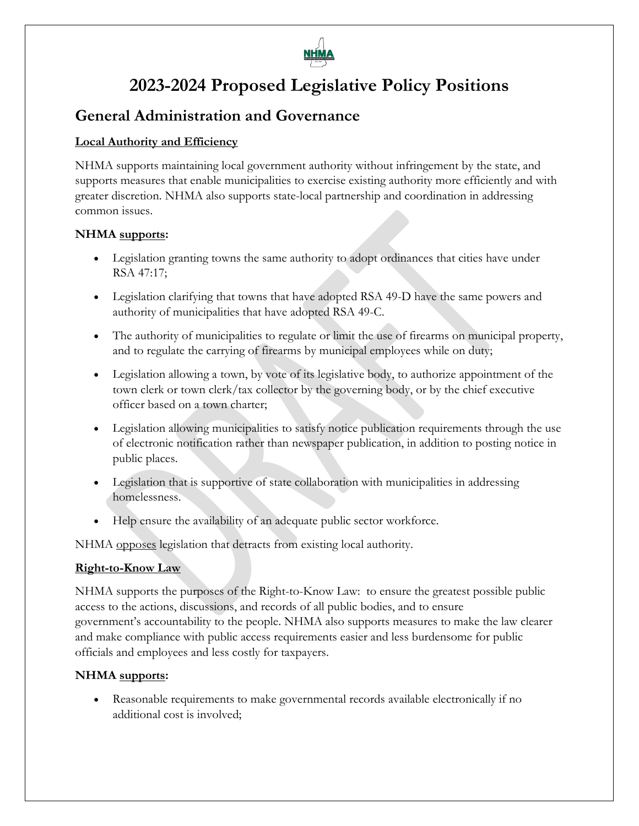

# **2023-2024 Proposed Legislative Policy Positions**

## **General Administration and Governance**

## **Local Authority and Efficiency**

NHMA supports maintaining local government authority without infringement by the state, and supports measures that enable municipalities to exercise existing authority more efficiently and with greater discretion. NHMA also supports state-local partnership and coordination in addressing common issues.

## **NHMA supports:**

- Legislation granting towns the same authority to adopt ordinances that cities have under RSA 47:17;
- Legislation clarifying that towns that have adopted RSA 49-D have the same powers and authority of municipalities that have adopted RSA 49-C.
- The authority of municipalities to regulate or limit the use of firearms on municipal property, and to regulate the carrying of firearms by municipal employees while on duty;
- Legislation allowing a town, by vote of its legislative body, to authorize appointment of the town clerk or town clerk/tax collector by the governing body, or by the chief executive officer based on a town charter;
- Legislation allowing municipalities to satisfy notice publication requirements through the use of electronic notification rather than newspaper publication, in addition to posting notice in public places.
- Legislation that is supportive of state collaboration with municipalities in addressing homelessness.
- Help ensure the availability of an adequate public sector workforce.

NHMA opposes legislation that detracts from existing local authority.

## **Right-to-Know Law**

NHMA supports the purposes of the Right-to-Know Law: to ensure the greatest possible public access to the actions, discussions, and records of all public bodies, and to ensure government's accountability to the people. NHMA also supports measures to make the law clearer and make compliance with public access requirements easier and less burdensome for public officials and employees and less costly for taxpayers.

## **NHMA supports:**

• Reasonable requirements to make governmental records available electronically if no additional cost is involved;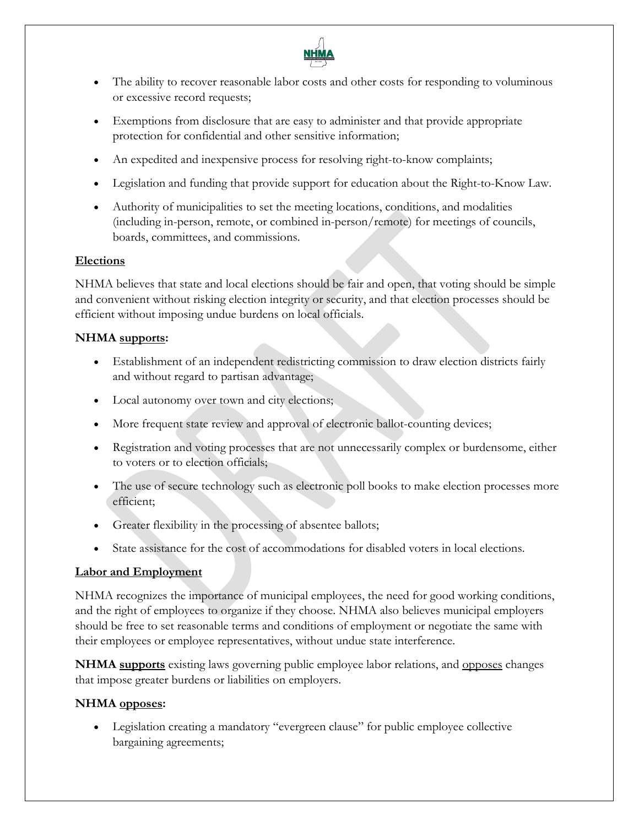

- The ability to recover reasonable labor costs and other costs for responding to voluminous or excessive record requests;
- Exemptions from disclosure that are easy to administer and that provide appropriate protection for confidential and other sensitive information;
- An expedited and inexpensive process for resolving right-to-know complaints;
- Legislation and funding that provide support for education about the Right-to-Know Law.
- Authority of municipalities to set the meeting locations, conditions, and modalities (including in-person, remote, or combined in-person/remote) for meetings of councils, boards, committees, and commissions.

#### **Elections**

NHMA believes that state and local elections should be fair and open, that voting should be simple and convenient without risking election integrity or security, and that election processes should be efficient without imposing undue burdens on local officials.

#### **NHMA supports:**

- Establishment of an independent redistricting commission to draw election districts fairly and without regard to partisan advantage;
- Local autonomy over town and city elections;
- More frequent state review and approval of electronic ballot-counting devices;
- Registration and voting processes that are not unnecessarily complex or burdensome, either to voters or to election officials;
- The use of secure technology such as electronic poll books to make election processes more efficient;
- Greater flexibility in the processing of absentee ballots;
- State assistance for the cost of accommodations for disabled voters in local elections.

## **Labor and Employment**

NHMA recognizes the importance of municipal employees, the need for good working conditions, and the right of employees to organize if they choose. NHMA also believes municipal employers should be free to set reasonable terms and conditions of employment or negotiate the same with their employees or employee representatives, without undue state interference.

**NHMA supports** existing laws governing public employee labor relations, and opposes changes that impose greater burdens or liabilities on employers.

## **NHMA opposes:**

• Legislation creating a mandatory "evergreen clause" for public employee collective bargaining agreements;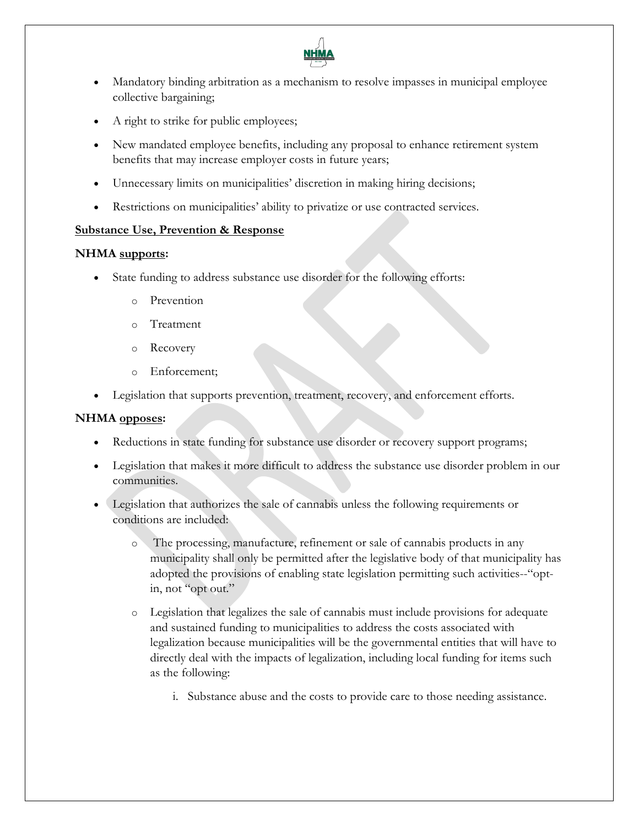

- Mandatory binding arbitration as a mechanism to resolve impasses in municipal employee collective bargaining;
- A right to strike for public employees;
- New mandated employee benefits, including any proposal to enhance retirement system benefits that may increase employer costs in future years;
- Unnecessary limits on municipalities' discretion in making hiring decisions;
- Restrictions on municipalities' ability to privatize or use contracted services.

#### **Substance Use, Prevention & Response**

#### **NHMA supports:**

- State funding to address substance use disorder for the following efforts:
	- o Prevention
	- o Treatment
	- o Recovery
	- o Enforcement;
- Legislation that supports prevention, treatment, recovery, and enforcement efforts.

#### **NHMA opposes:**

- Reductions in state funding for substance use disorder or recovery support programs;
- Legislation that makes it more difficult to address the substance use disorder problem in our communities.
- Legislation that authorizes the sale of cannabis unless the following requirements or conditions are included:
	- o The processing, manufacture, refinement or sale of cannabis products in any municipality shall only be permitted after the legislative body of that municipality has adopted the provisions of enabling state legislation permitting such activities--"optin, not "opt out."
	- o Legislation that legalizes the sale of cannabis must include provisions for adequate and sustained funding to municipalities to address the costs associated with legalization because municipalities will be the governmental entities that will have to directly deal with the impacts of legalization, including local funding for items such as the following:
		- i. Substance abuse and the costs to provide care to those needing assistance.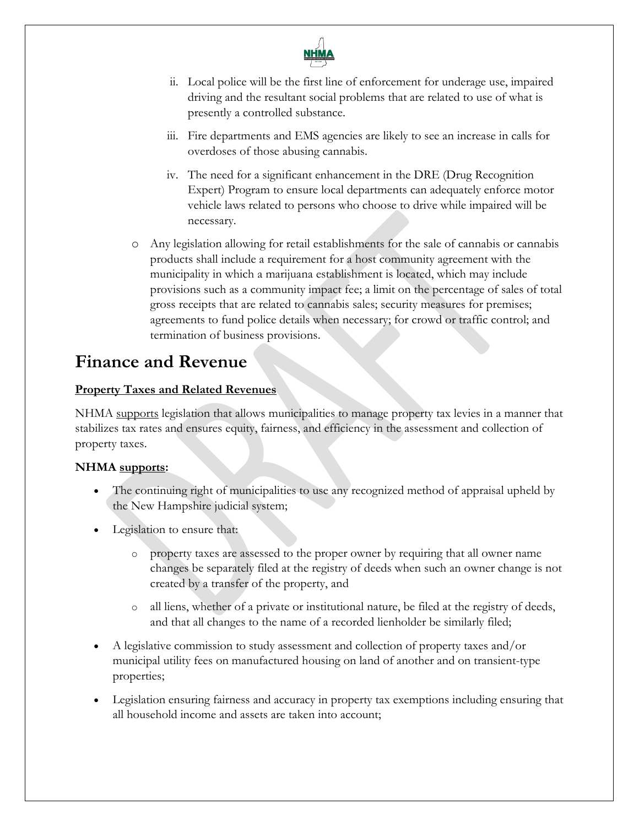

- ii. Local police will be the first line of enforcement for underage use, impaired driving and the resultant social problems that are related to use of what is presently a controlled substance.
- iii. Fire departments and EMS agencies are likely to see an increase in calls for overdoses of those abusing cannabis.
- iv. The need for a significant enhancement in the DRE (Drug Recognition Expert) Program to ensure local departments can adequately enforce motor vehicle laws related to persons who choose to drive while impaired will be necessary.
- o Any legislation allowing for retail establishments for the sale of cannabis or cannabis products shall include a requirement for a host community agreement with the municipality in which a marijuana establishment is located, which may include provisions such as a community impact fee; a limit on the percentage of sales of total gross receipts that are related to cannabis sales; security measures for premises; agreements to fund police details when necessary; for crowd or traffic control; and termination of business provisions.

# **Finance and Revenue**

## **Property Taxes and Related Revenues**

NHMA supports legislation that allows municipalities to manage property tax levies in a manner that stabilizes tax rates and ensures equity, fairness, and efficiency in the assessment and collection of property taxes.

- The continuing right of municipalities to use any recognized method of appraisal upheld by the New Hampshire judicial system;
- Legislation to ensure that:
	- o property taxes are assessed to the proper owner by requiring that all owner name changes be separately filed at the registry of deeds when such an owner change is not created by a transfer of the property, and
	- o all liens, whether of a private or institutional nature, be filed at the registry of deeds, and that all changes to the name of a recorded lienholder be similarly filed;
- A legislative commission to study assessment and collection of property taxes and/or municipal utility fees on manufactured housing on land of another and on transient-type properties;
- Legislation ensuring fairness and accuracy in property tax exemptions including ensuring that all household income and assets are taken into account;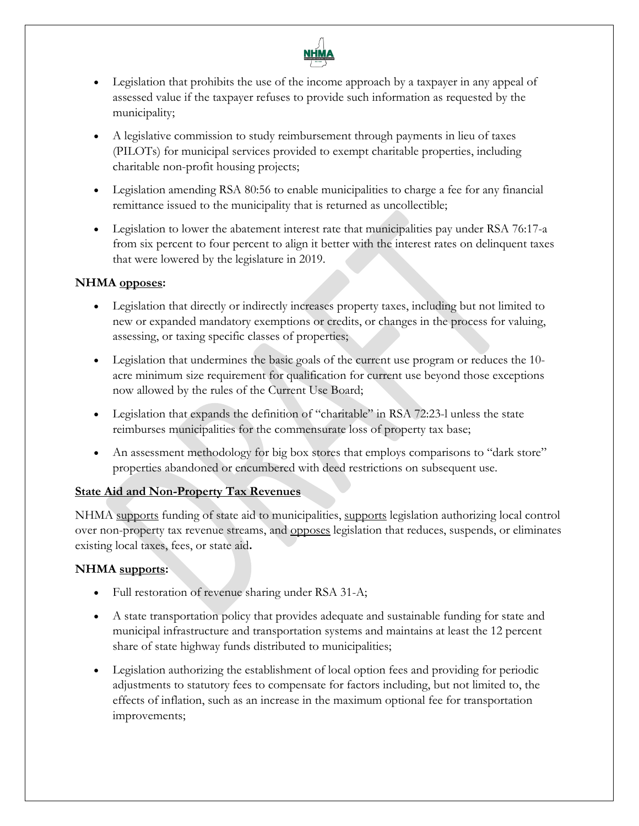

- Legislation that prohibits the use of the income approach by a taxpayer in any appeal of assessed value if the taxpayer refuses to provide such information as requested by the municipality;
- A legislative commission to study reimbursement through payments in lieu of taxes (PILOTs) for municipal services provided to exempt charitable properties, including charitable non-profit housing projects;
- Legislation amending RSA 80:56 to enable municipalities to charge a fee for any financial remittance issued to the municipality that is returned as uncollectible;
- Legislation to lower the abatement interest rate that municipalities pay under RSA 76:17-a from six percent to four percent to align it better with the interest rates on delinquent taxes that were lowered by the legislature in 2019.

- Legislation that directly or indirectly increases property taxes, including but not limited to new or expanded mandatory exemptions or credits, or changes in the process for valuing, assessing, or taxing specific classes of properties;
- Legislation that undermines the basic goals of the current use program or reduces the 10 acre minimum size requirement for qualification for current use beyond those exceptions now allowed by the rules of the Current Use Board;
- Legislation that expands the definition of "charitable" in RSA 72:23-l unless the state reimburses municipalities for the commensurate loss of property tax base;
- An assessment methodology for big box stores that employs comparisons to "dark store" properties abandoned or encumbered with deed restrictions on subsequent use.

## **State Aid and Non-Property Tax Revenues**

NHMA supports funding of state aid to municipalities, supports legislation authorizing local control over non-property tax revenue streams, and opposes legislation that reduces, suspends, or eliminates existing local taxes, fees, or state aid**.** 

- Full restoration of revenue sharing under RSA 31-A;
- A state transportation policy that provides adequate and sustainable funding for state and municipal infrastructure and transportation systems and maintains at least the 12 percent share of state highway funds distributed to municipalities;
- Legislation authorizing the establishment of local option fees and providing for periodic adjustments to statutory fees to compensate for factors including, but not limited to, the effects of inflation, such as an increase in the maximum optional fee for transportation improvements;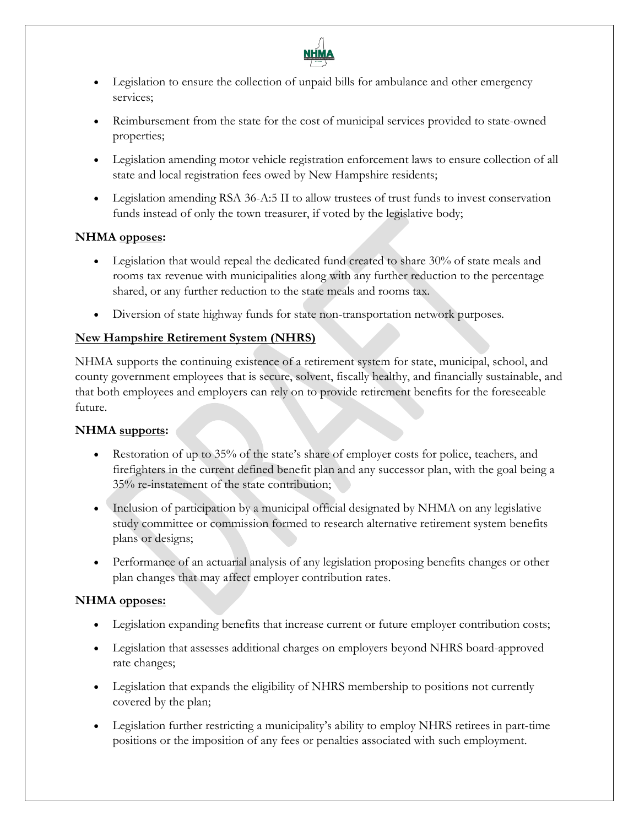

- Legislation to ensure the collection of unpaid bills for ambulance and other emergency services;
- Reimbursement from the state for the cost of municipal services provided to state-owned properties;
- Legislation amending motor vehicle registration enforcement laws to ensure collection of all state and local registration fees owed by New Hampshire residents;
- Legislation amending RSA 36-A:5 II to allow trustees of trust funds to invest conservation funds instead of only the town treasurer, if voted by the legislative body;

- Legislation that would repeal the dedicated fund created to share 30% of state meals and rooms tax revenue with municipalities along with any further reduction to the percentage shared, or any further reduction to the state meals and rooms tax.
- Diversion of state highway funds for state non-transportation network purposes.

## **New Hampshire Retirement System (NHRS)**

NHMA supports the continuing existence of a retirement system for state, municipal, school, and county government employees that is secure, solvent, fiscally healthy, and financially sustainable, and that both employees and employers can rely on to provide retirement benefits for the foreseeable future.

## **NHMA supports:**

- Restoration of up to 35% of the state's share of employer costs for police, teachers, and firefighters in the current defined benefit plan and any successor plan, with the goal being a 35% re-instatement of the state contribution;
- Inclusion of participation by a municipal official designated by NHMA on any legislative study committee or commission formed to research alternative retirement system benefits plans or designs;
- Performance of an actuarial analysis of any legislation proposing benefits changes or other plan changes that may affect employer contribution rates.

## **NHMA opposes:**

- Legislation expanding benefits that increase current or future employer contribution costs;
- Legislation that assesses additional charges on employers beyond NHRS board-approved rate changes;
- Legislation that expands the eligibility of NHRS membership to positions not currently covered by the plan;
- Legislation further restricting a municipality's ability to employ NHRS retirees in part-time positions or the imposition of any fees or penalties associated with such employment.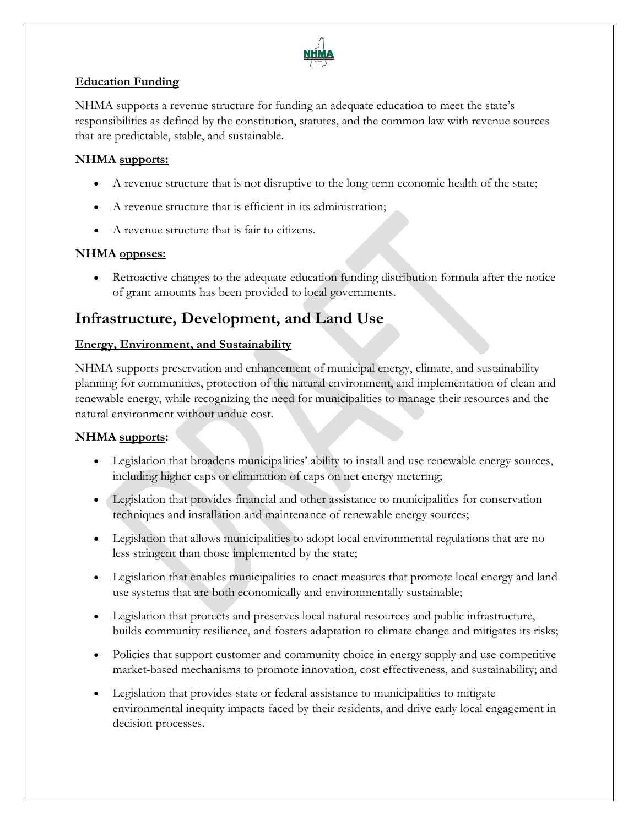

#### **Education Funding**

NHMA supports a revenue structure for funding an adequate education to meet the state's responsibilities as defined by the constitution, statutes, and the common law with revenue sources that are predictable, stable, and sustainable.

## **NHMA supports:**

- A revenue structure that is not disruptive to the long-term economic health of the state;
- A revenue structure that is efficient in its administration;
- A revenue structure that is fair to citizens.

#### **NHMA opposes:**

• Retroactive changes to the adequate education funding distribution formula after the notice of grant amounts has been provided to local governments.

## **Infrastructure, Development, and Land Use**

#### **Energy, Environment, and Sustainability**

NHMA supports preservation and enhancement of municipal energy, climate, and sustainability planning for communities, protection of the natural environment, and implementation of clean and renewable energy, while recognizing the need for municipalities to manage their resources and the natural environment without undue cost.

- Legislation that broadens municipalities' ability to install and use renewable energy sources, including higher caps or elimination of caps on net energy metering;
- Legislation that provides financial and other assistance to municipalities for conservation techniques and installation and maintenance of renewable energy sources;
- Legislation that allows municipalities to adopt local environmental regulations that are no less stringent than those implemented by the state;
- Legislation that enables municipalities to enact measures that promote local energy and land use systems that are both economically and environmentally sustainable;
- Legislation that protects and preserves local natural resources and public infrastructure, builds community resilience, and fosters adaptation to climate change and mitigates its risks;
- Policies that support customer and community choice in energy supply and use competitive market-based mechanisms to promote innovation, cost effectiveness, and sustainability; and
- Legislation that provides state or federal assistance to municipalities to mitigate environmental inequity impacts faced by their residents, and drive early local engagement in decision processes.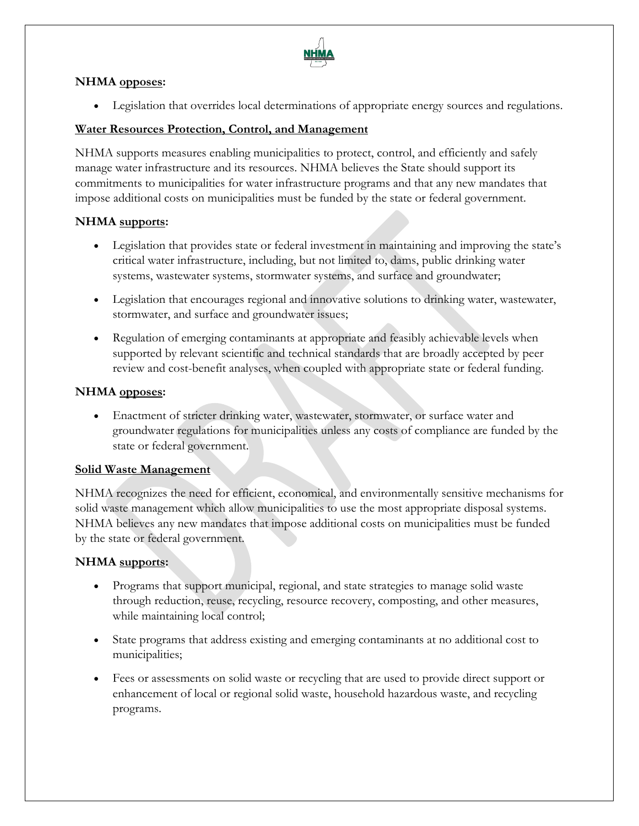

• Legislation that overrides local determinations of appropriate energy sources and regulations.

## **Water Resources Protection, Control, and Management**

NHMA supports measures enabling municipalities to protect, control, and efficiently and safely manage water infrastructure and its resources. NHMA believes the State should support its commitments to municipalities for water infrastructure programs and that any new mandates that impose additional costs on municipalities must be funded by the state or federal government.

#### **NHMA supports:**

- Legislation that provides state or federal investment in maintaining and improving the state's critical water infrastructure, including, but not limited to, dams, public drinking water systems, wastewater systems, stormwater systems, and surface and groundwater;
- Legislation that encourages regional and innovative solutions to drinking water, wastewater, stormwater, and surface and groundwater issues;
- Regulation of emerging contaminants at appropriate and feasibly achievable levels when supported by relevant scientific and technical standards that are broadly accepted by peer review and cost-benefit analyses, when coupled with appropriate state or federal funding.

#### **NHMA opposes:**

• Enactment of stricter drinking water, wastewater, stormwater, or surface water and groundwater regulations for municipalities unless any costs of compliance are funded by the state or federal government.

#### **Solid Waste Management**

NHMA recognizes the need for efficient, economical, and environmentally sensitive mechanisms for solid waste management which allow municipalities to use the most appropriate disposal systems. NHMA believes any new mandates that impose additional costs on municipalities must be funded by the state or federal government.

- Programs that support municipal, regional, and state strategies to manage solid waste through reduction, reuse, recycling, resource recovery, composting, and other measures, while maintaining local control;
- State programs that address existing and emerging contaminants at no additional cost to municipalities;
- Fees or assessments on solid waste or recycling that are used to provide direct support or enhancement of local or regional solid waste, household hazardous waste, and recycling programs.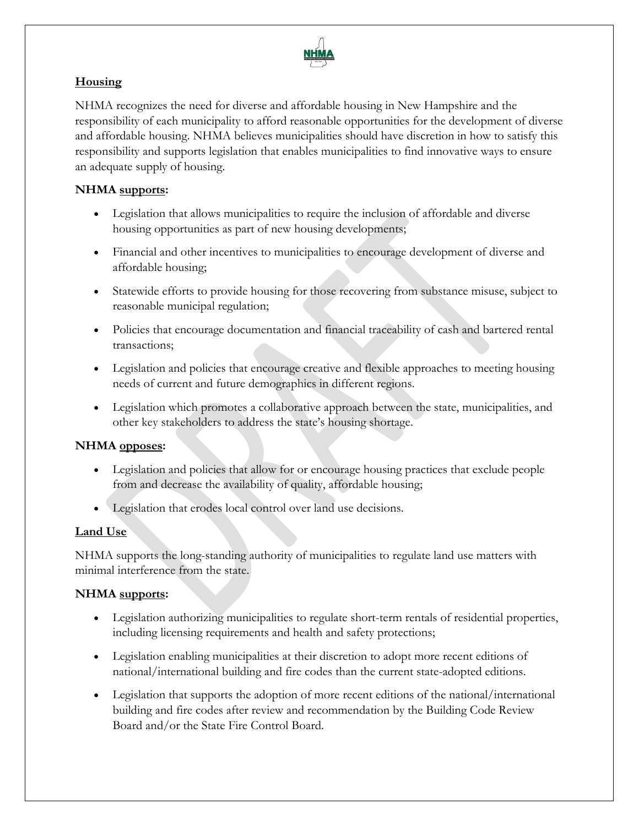

## **Housing**

NHMA recognizes the need for diverse and affordable housing in New Hampshire and the responsibility of each municipality to afford reasonable opportunities for the development of diverse and affordable housing. NHMA believes municipalities should have discretion in how to satisfy this responsibility and supports legislation that enables municipalities to find innovative ways to ensure an adequate supply of housing.

## **NHMA supports:**

- Legislation that allows municipalities to require the inclusion of affordable and diverse housing opportunities as part of new housing developments;
- Financial and other incentives to municipalities to encourage development of diverse and affordable housing;
- Statewide efforts to provide housing for those recovering from substance misuse, subject to reasonable municipal regulation;
- Policies that encourage documentation and financial traceability of cash and bartered rental transactions;
- Legislation and policies that encourage creative and flexible approaches to meeting housing needs of current and future demographics in different regions.
- Legislation which promotes a collaborative approach between the state, municipalities, and other key stakeholders to address the state's housing shortage.

#### **NHMA opposes:**

- Legislation and policies that allow for or encourage housing practices that exclude people from and decrease the availability of quality, affordable housing;
- Legislation that erodes local control over land use decisions.

## **Land Use**

NHMA supports the long-standing authority of municipalities to regulate land use matters with minimal interference from the state.

- Legislation authorizing municipalities to regulate short-term rentals of residential properties, including licensing requirements and health and safety protections;
- Legislation enabling municipalities at their discretion to adopt more recent editions of national/international building and fire codes than the current state-adopted editions.
- Legislation that supports the adoption of more recent editions of the national/international building and fire codes after review and recommendation by the Building Code Review Board and/or the State Fire Control Board.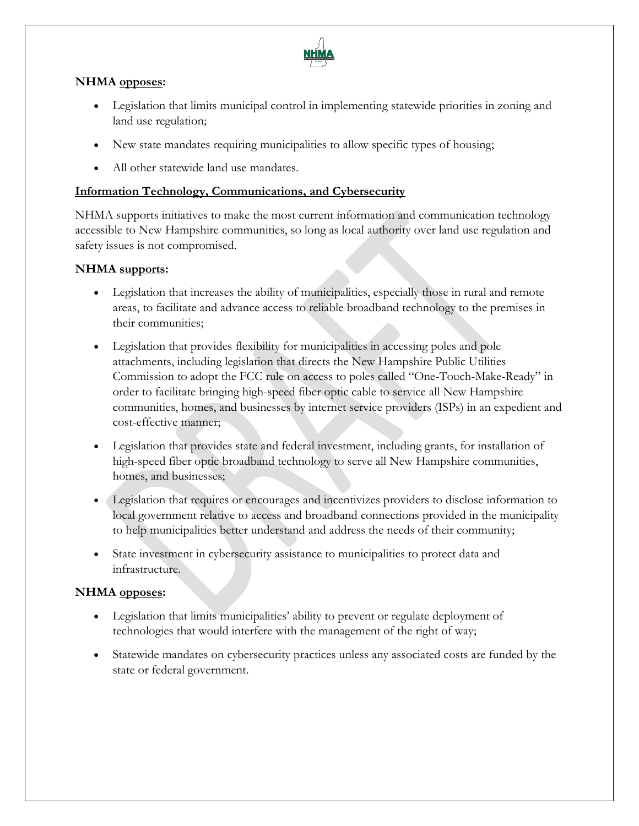

- Legislation that limits municipal control in implementing statewide priorities in zoning and land use regulation;
- New state mandates requiring municipalities to allow specific types of housing;
- All other statewide land use mandates.

## **Information Technology, Communications, and Cybersecurity**

NHMA supports initiatives to make the most current information and communication technology accessible to New Hampshire communities, so long as local authority over land use regulation and safety issues is not compromised.

#### **NHMA supports:**

- Legislation that increases the ability of municipalities, especially those in rural and remote areas, to facilitate and advance access to reliable broadband technology to the premises in their communities;
- Legislation that provides flexibility for municipalities in accessing poles and pole attachments, including legislation that directs the New Hampshire Public Utilities Commission to adopt the FCC rule on access to poles called "One-Touch-Make-Ready" in order to facilitate bringing high-speed fiber optic cable to service all New Hampshire communities, homes, and businesses by internet service providers (ISPs) in an expedient and cost-effective manner;
- Legislation that provides state and federal investment, including grants, for installation of high-speed fiber optic broadband technology to serve all New Hampshire communities, homes, and businesses;
- Legislation that requires or encourages and incentivizes providers to disclose information to local government relative to access and broadband connections provided in the municipality to help municipalities better understand and address the needs of their community;
- State investment in cybersecurity assistance to municipalities to protect data and infrastructure.

#### **NHMA opposes:**

- Legislation that limits municipalities' ability to prevent or regulate deployment of technologies that would interfere with the management of the right of way;
- Statewide mandates on cybersecurity practices unless any associated costs are funded by the state or federal government.